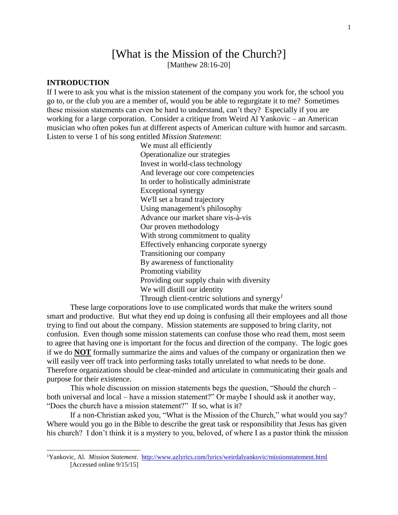# [What is the Mission of the Church?]

[Matthew 28:16-20]

# **INTRODUCTION**

 $\overline{a}$ 

If I were to ask you what is the mission statement of the company you work for, the school you go to, or the club you are a member of, would you be able to regurgitate it to me? Sometimes these mission statements can even be hard to understand, can't they? Especially if you are working for a large corporation. Consider a critique from Weird Al Yankovic – an American musician who often pokes fun at different aspects of American culture with humor and sarcasm. Listen to verse 1 of his song entitled *Mission Statement*:

> We must all efficiently Operationalize our strategies Invest in world-class technology And leverage our core competencies In order to holistically administrate Exceptional synergy We'll set a brand trajectory Using management's philosophy Advance our market share vis-à-vis Our proven methodology With strong commitment to quality Effectively enhancing corporate synergy Transitioning our company By awareness of functionality Promoting viability Providing our supply chain with diversity We will distill our identity Through client-centric solutions and synergy*<sup>1</sup>*

These large corporations love to use complicated words that make the writers sound smart and productive. But what they end up doing is confusing all their employees and all those trying to find out about the company. Mission statements are supposed to bring clarity, not confusion. Even though some mission statements can confuse those who read them, most seem to agree that having one is important for the focus and direction of the company. The logic goes if we do **NOT** formally summarize the aims and values of the company or organization then we will easily veer off track into performing tasks totally unrelated to what needs to be done. Therefore organizations should be clear-minded and articulate in communicating their goals and purpose for their existence.

This whole discussion on mission statements begs the question, "Should the church – both universal and local – have a mission statement?" Or maybe I should ask it another way, "Does the church have a mission statement?" If so, what is it?

If a non-Christian asked you, "What is the Mission of the Church," what would you say? Where would you go in the Bible to describe the great task or responsibility that Jesus has given his church? I don't think it is a mystery to you, beloved, of where I as a pastor think the mission

<sup>1</sup>Yankovic, Al. *Mission Statement*.<http://www.azlyrics.com/lyrics/weirdalyankovic/missionstatement.html> [Accessed online 9/15/15]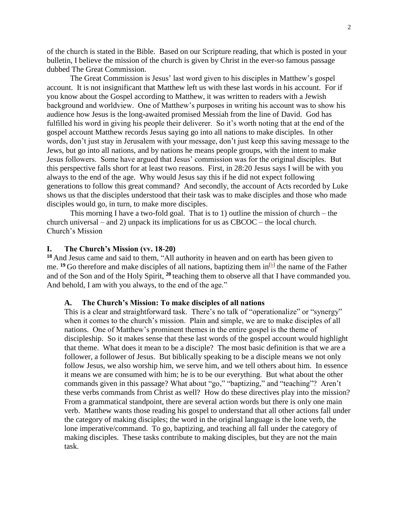of the church is stated in the Bible. Based on our Scripture reading, that which is posted in your bulletin, I believe the mission of the church is given by Christ in the ever-so famous passage dubbed The Great Commission.

The Great Commission is Jesus' last word given to his disciples in Matthew's gospel account. It is not insignificant that Matthew left us with these last words in his account. For if you know about the Gospel according to Matthew, it was written to readers with a Jewish background and worldview. One of Matthew's purposes in writing his account was to show his audience how Jesus is the long-awaited promised Messiah from the line of David. God has fulfilled his word in giving his people their deliverer. So it's worth noting that at the end of the gospel account Matthew records Jesus saying go into all nations to make disciples. In other words, don't just stay in Jerusalem with your message, don't just keep this saving message to the Jews, but go into all nations, and by nations he means people groups, with the intent to make Jesus followers. Some have argued that Jesus' commission was for the original disciples. But this perspective falls short for at least two reasons. First, in 28:20 Jesus says I will be with you always to the end of the age. Why would Jesus say this if he did not expect following generations to follow this great command? And secondly, the account of Acts recorded by Luke shows us that the disciples understood that their task was to make disciples and those who made disciples would go, in turn, to make more disciples.

This morning I have a two-fold goal. That is to 1) outline the mission of church – the church universal – and 2) unpack its implications for us as CBCOC – the local church. Church's Mission

## **I. The Church's Mission (vv. 18-20)**

**<sup>18</sup>** And Jesus came and said to them, "All authority in heaven and on earth has been given to me. <sup>19</sup> Go therefore and make disciples of all nations, baptizing them in<sup>[\[b\]](https://www.biblegateway.com/passage/?search=matthew+28&version=ESV#fen-ESV-24211b)</sup> the name of the Father and of the Son and of the Holy Spirit, **<sup>20</sup>** teaching them to observe all that I have commanded you. And behold, I am with you always, to the end of the age."

### **A. The Church's Mission: To make disciples of all nations**

This is a clear and straightforward task. There's no talk of "operationalize" or "synergy" when it comes to the church's mission. Plain and simple, we are to make disciples of all nations. One of Matthew's prominent themes in the entire gospel is the theme of discipleship. So it makes sense that these last words of the gospel account would highlight that theme. What does it mean to be a disciple? The most basic definition is that we are a follower, a follower of Jesus. But biblically speaking to be a disciple means we not only follow Jesus, we also worship him, we serve him, and we tell others about him. In essence it means we are consumed with him; he is to be our everything. But what about the other commands given in this passage? What about "go," "baptizing," and "teaching"? Aren't these verbs commands from Christ as well? How do these directives play into the mission? From a grammatical standpoint, there are several action words but there is only one main verb. Matthew wants those reading his gospel to understand that all other actions fall under the category of making disciples; the word in the original language is the lone verb, the lone imperative/command. To go, baptizing, and teaching all fall under the category of making disciples. These tasks contribute to making disciples, but they are not the main task.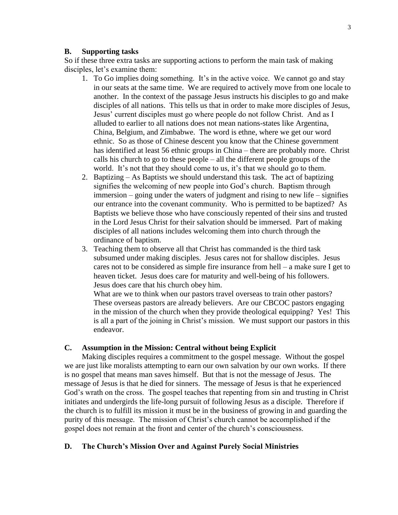#### **B. Supporting tasks**

So if these three extra tasks are supporting actions to perform the main task of making disciples, let's examine them:

- 1. To Go implies doing something. It's in the active voice. We cannot go and stay in our seats at the same time. We are required to actively move from one locale to another. In the context of the passage Jesus instructs his disciples to go and make disciples of all nations. This tells us that in order to make more disciples of Jesus, Jesus' current disciples must go where people do not follow Christ. And as I alluded to earlier to all nations does not mean nations-states like Argentina, China, Belgium, and Zimbabwe. The word is ethne, where we get our word ethnic. So as those of Chinese descent you know that the Chinese government has identified at least 56 ethnic groups in China – there are probably more. Christ calls his church to go to these people – all the different people groups of the world. It's not that they should come to us, it's that we should go to them.
- 2. Baptizing As Baptists we should understand this task. The act of baptizing signifies the welcoming of new people into God's church. Baptism through immersion – going under the waters of judgment and rising to new life – signifies our entrance into the covenant community. Who is permitted to be baptized? As Baptists we believe those who have consciously repented of their sins and trusted in the Lord Jesus Christ for their salvation should be immersed. Part of making disciples of all nations includes welcoming them into church through the ordinance of baptism.
- 3. Teaching them to observe all that Christ has commanded is the third task subsumed under making disciples. Jesus cares not for shallow disciples. Jesus cares not to be considered as simple fire insurance from hell – a make sure I get to heaven ticket. Jesus does care for maturity and well-being of his followers. Jesus does care that his church obey him.

What are we to think when our pastors travel overseas to train other pastors? These overseas pastors are already believers. Are our CBCOC pastors engaging in the mission of the church when they provide theological equipping? Yes! This is all a part of the joining in Christ's mission. We must support our pastors in this endeavor.

## **C. Assumption in the Mission: Central without being Explicit**

Making disciples requires a commitment to the gospel message. Without the gospel we are just like moralists attempting to earn our own salvation by our own works. If there is no gospel that means man saves himself. But that is not the message of Jesus. The message of Jesus is that he died for sinners. The message of Jesus is that he experienced God's wrath on the cross. The gospel teaches that repenting from sin and trusting in Christ initiates and undergirds the life-long pursuit of following Jesus as a disciple. Therefore if the church is to fulfill its mission it must be in the business of growing in and guarding the purity of this message. The mission of Christ's church cannot be accomplished if the gospel does not remain at the front and center of the church's consciousness.

## **D. The Church's Mission Over and Against Purely Social Ministries**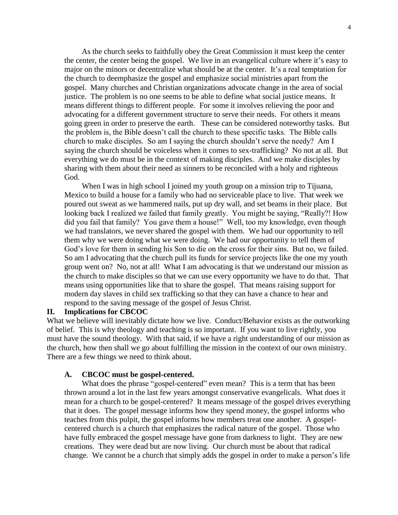As the church seeks to faithfully obey the Great Commission it must keep the center the center, the center being the gospel. We live in an evangelical culture where it's easy to major on the minors or decentralize what should be at the center. It's a real temptation for the church to deemphasize the gospel and emphasize social ministries apart from the gospel. Many churches and Christian organizations advocate change in the area of social justice. The problem is no one seems to be able to define what social justice means. It means different things to different people. For some it involves relieving the poor and advocating for a different government structure to serve their needs. For others it means going green in order to preserve the earth. These can be considered noteworthy tasks. But the problem is, the Bible doesn't call the church to these specific tasks. The Bible calls church to make disciples. So am I saying the church shouldn't serve the needy? Am I saying the church should be voiceless when it comes to sex-trafficking? No not at all. But everything we do must be in the context of making disciples. And we make disciples by sharing with them about their need as sinners to be reconciled with a holy and righteous God.

When I was in high school I joined my youth group on a mission trip to Tijuana, Mexico to build a house for a family who had no serviceable place to live. That week we poured out sweat as we hammered nails, put up dry wall, and set beams in their place. But looking back I realized we failed that family greatly. You might be saying, "Really?! How did you fail that family? You gave them a house!" Well, too my knowledge, even though we had translators, we never shared the gospel with them. We had our opportunity to tell them why we were doing what we were doing. We had our opportunity to tell them of God's love for them in sending his Son to die on the cross for their sins. But no, we failed. So am I advocating that the church pull its funds for service projects like the one my youth group went on? No, not at all! What I am advocating is that we understand our mission as the church to make disciples so that we can use every opportunity we have to do that. That means using opportunities like that to share the gospel. That means raising support for modern day slaves in child sex trafficking so that they can have a chance to hear and respond to the saving message of the gospel of Jesus Christ.

## **II. Implications for CBCOC**

What we believe will inevitably dictate how we live. Conduct/Behavior exists as the outworking of belief. This is why theology and teaching is so important. If you want to live rightly, you must have the sound theology. With that said, if we have a right understanding of our mission as the church, how then shall we go about fulfilling the mission in the context of our own ministry. There are a few things we need to think about.

#### **A. CBCOC must be gospel-centered.**

What does the phrase "gospel-centered" even mean? This is a term that has been thrown around a lot in the last few years amongst conservative evangelicals. What does it mean for a church to be gospel-centered? It means message of the gospel drives everything that it does. The gospel message informs how they spend money, the gospel informs who teaches from this pulpit, the gospel informs how members treat one another. A gospelcentered church is a church that emphasizes the radical nature of the gospel. Those who have fully embraced the gospel message have gone from darkness to light. They are new creations. They were dead but are now living. Our church must be about that radical change. We cannot be a church that simply adds the gospel in order to make a person's life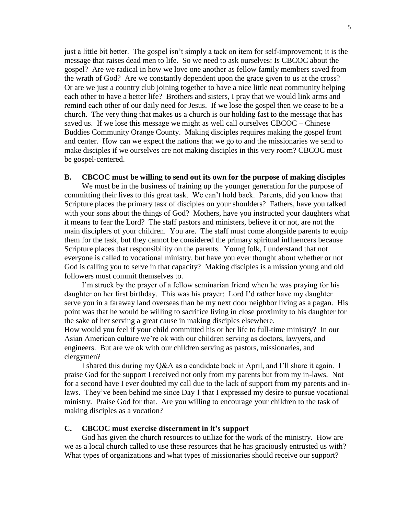just a little bit better. The gospel isn't simply a tack on item for self-improvement; it is the message that raises dead men to life. So we need to ask ourselves: Is CBCOC about the gospel? Are we radical in how we love one another as fellow family members saved from the wrath of God? Are we constantly dependent upon the grace given to us at the cross? Or are we just a country club joining together to have a nice little neat community helping each other to have a better life? Brothers and sisters, I pray that we would link arms and remind each other of our daily need for Jesus. If we lose the gospel then we cease to be a church. The very thing that makes us a church is our holding fast to the message that has saved us. If we lose this message we might as well call ourselves CBCOC – Chinese Buddies Community Orange County. Making disciples requires making the gospel front and center. How can we expect the nations that we go to and the missionaries we send to make disciples if we ourselves are not making disciples in this very room? CBCOC must be gospel-centered.

#### **B. CBCOC must be willing to send out its own for the purpose of making disciples**

We must be in the business of training up the younger generation for the purpose of committing their lives to this great task. We can't hold back. Parents, did you know that Scripture places the primary task of disciples on your shoulders? Fathers, have you talked with your sons about the things of God? Mothers, have you instructed your daughters what it means to fear the Lord? The staff pastors and ministers, believe it or not, are not the main disciplers of your children. You are. The staff must come alongside parents to equip them for the task, but they cannot be considered the primary spiritual influencers because Scripture places that responsibility on the parents. Young folk, I understand that not everyone is called to vocational ministry, but have you ever thought about whether or not God is calling you to serve in that capacity? Making disciples is a mission young and old followers must commit themselves to.

I'm struck by the prayer of a fellow seminarian friend when he was praying for his daughter on her first birthday. This was his prayer: Lord I'd rather have my daughter serve you in a faraway land overseas than be my next door neighbor living as a pagan. His point was that he would be willing to sacrifice living in close proximity to his daughter for the sake of her serving a great cause in making disciples elsewhere. How would you feel if your child committed his or her life to full-time ministry? In our Asian American culture we're ok with our children serving as doctors, lawyers, and engineers. But are we ok with our children serving as pastors, missionaries, and

clergymen?

I shared this during my Q&A as a candidate back in April, and I'll share it again. I praise God for the support I received not only from my parents but from my in-laws. Not for a second have I ever doubted my call due to the lack of support from my parents and inlaws. They've been behind me since Day 1 that I expressed my desire to pursue vocational ministry. Praise God for that. Are you willing to encourage your children to the task of making disciples as a vocation?

#### **C. CBCOC must exercise discernment in it's support**

God has given the church resources to utilize for the work of the ministry. How are we as a local church called to use these resources that he has graciously entrusted us with? What types of organizations and what types of missionaries should receive our support?